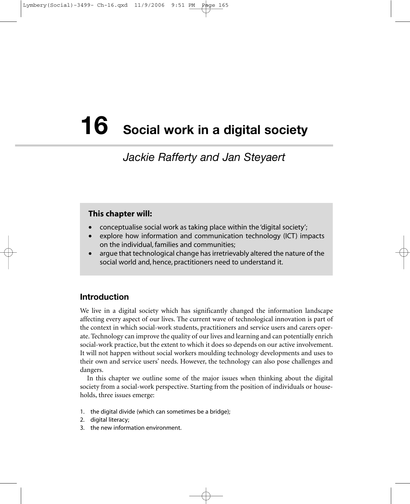# $16$  Social work in a digital society

# Jackie Rafferty and Jan Steyaert

## **This chapter will:**

- conceptualise social work as taking place within the 'digital society';
- explore how information and communication technology (ICT) impacts on the individual, families and communities;
- argue that technological change has irretrievably altered the nature of the social world and, hence, practitioners need to understand it.

# Introduction

We live in a digital society which has significantly changed the information landscape affecting every aspect of our lives. The current wave of technological innovation is part of the context in which social-work students, practitioners and service users and carers operate. Technology can improve the quality of our lives and learning and can potentially enrich social-work practice, but the extent to which it does so depends on our active involvement. It will not happen without social workers moulding technology developments and uses to their own and service users' needs. However, the technology can also pose challenges and dangers.

In this chapter we outline some of the major issues when thinking about the digital society from a social-work perspective. Starting from the position of individuals or households, three issues emerge:

- 1. the digital divide (which can sometimes be a bridge);
- 2. digital literacy;
- 3. the new information environment.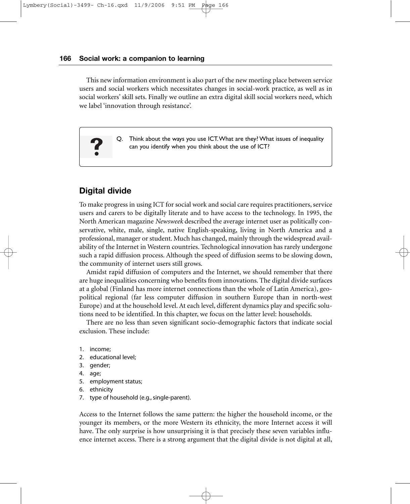This new information environment is also part of the new meeting place between service users and social workers which necessitates changes in social-work practice, as well as in social workers' skill sets. Finally we outline an extra digital skill social workers need, which we label 'innovation through resistance'.

> Q. Think about the ways you use ICT.What are they? What issues of inequality can you identify when you think about the use of ICT?

# Digital divide

To make progress in using ICT for social work and social care requires practitioners, service users and carers to be digitally literate and to have access to the technology. In 1995, the North American magazine *Newsweek* described the average internet user as politically conservative, white, male, single, native English-speaking, living in North America and a professional, manager or student. Much has changed, mainly through the widespread availability of the Internet in Western countries. Technological innovation has rarely undergone such a rapid diffusion process. Although the speed of diffusion seems to be slowing down, the community of internet users still grows.

Amidst rapid diffusion of computers and the Internet, we should remember that there are huge inequalities concerning who benefits from innovations. The digital divide surfaces at a global (Finland has more internet connections than the whole of Latin America), geopolitical regional (far less computer diffusion in southern Europe than in north-west Europe) and at the household level. At each level, different dynamics play and specific solutions need to be identified. In this chapter, we focus on the latter level: households.

There are no less than seven significant socio-demographic factors that indicate social exclusion. These include:

- 1. income;
- 2. educational level;
- 3. gender;
- 4. age;
- 5. employment status;
- 6. ethnicity
- 7. type of household (e.g., single-parent).

Access to the Internet follows the same pattern: the higher the household income, or the younger its members, or the more Western its ethnicity, the more Internet access it will have. The only surprise is how unsurprising it is that precisely these seven variables influence internet access. There is a strong argument that the digital divide is not digital at all,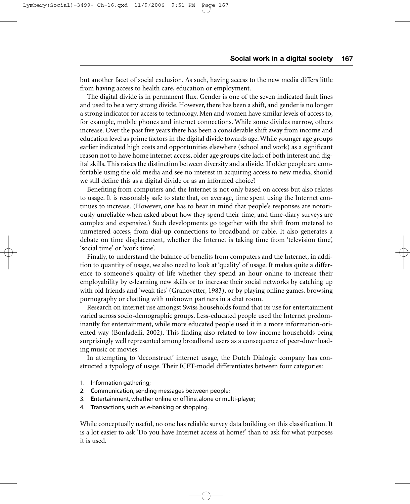but another facet of social exclusion. As such, having access to the new media differs little from having access to health care, education or employment.

The digital divide is in permanent flux. Gender is one of the seven indicated fault lines and used to be a very strong divide. However, there has been a shift, and gender is no longer a strong indicator for access to technology. Men and women have similar levels of access to, for example, mobile phones and internet connections. While some divides narrow, others increase. Over the past five years there has been a considerable shift away from income and education level as prime factors in the digital divide towards age. While younger age groups earlier indicated high costs and opportunities elsewhere (school and work) as a significant reason not to have home internet access, older age groups cite lack of both interest and digital skills. This raises the distinction between diversity and a divide. If older people are comfortable using the old media and see no interest in acquiring access to new media, should we still define this as a digital divide or as an informed choice?

Benefiting from computers and the Internet is not only based on access but also relates to usage. It is reasonably safe to state that, on average, time spent using the Internet continues to increase. (However, one has to bear in mind that people's responses are notoriously unreliable when asked about how they spend their time, and time-diary surveys are complex and expensive.) Such developments go together with the shift from metered to unmetered access, from dial-up connections to broadband or cable. It also generates a debate on time displacement, whether the Internet is taking time from 'television time', 'social time' or 'work time'.

Finally, to understand the balance of benefits from computers and the Internet, in addition to quantity of usage, we also need to look at 'quality' of usage. It makes quite a difference to someone's quality of life whether they spend an hour online to increase their employability by e-learning new skills or to increase their social networks by catching up with old friends and 'weak ties' (Granovetter, 1983), or by playing online games, browsing pornography or chatting with unknown partners in a chat room.

Research on internet use amongst Swiss households found that its use for entertainment varied across socio-demographic groups. Less-educated people used the Internet predominantly for entertainment, while more educated people used it in a more information-oriented way (Bonfadelli, 2002). This finding also related to low-income households being surprisingly well represented among broadband users as a consequence of peer-downloading music or movies.

In attempting to 'deconstruct' internet usage, the Dutch Dialogic company has constructed a typology of usage. Their ICET-model differentiates between four categories:

- 1. **I**nformation gathering;
- 2. **C**ommunication, sending messages between people;
- 3. **E**ntertainment, whether online or offline, alone or multi-player;
- 4. **T**ransactions, such as e-banking or shopping.

While conceptually useful, no one has reliable survey data building on this classification. It is a lot easier to ask 'Do you have Internet access at home?' than to ask for what purposes it is used.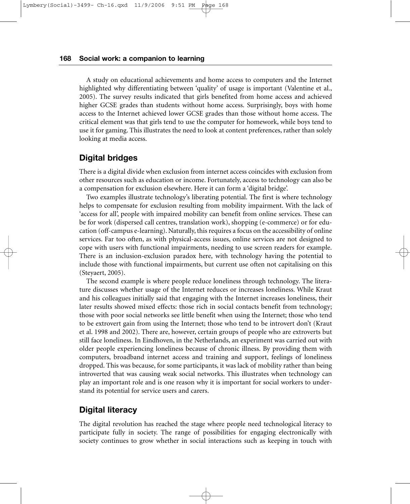A study on educational achievements and home access to computers and the Internet highlighted why differentiating between 'quality' of usage is important (Valentine et al., 2005). The survey results indicated that girls benefited from home access and achieved higher GCSE grades than students without home access. Surprisingly, boys with home access to the Internet achieved lower GCSE grades than those without home access. The critical element was that girls tend to use the computer for homework, while boys tend to use it for gaming. This illustrates the need to look at content preferences, rather than solely looking at media access.

## Digital bridges

There is a digital divide when exclusion from internet access coincides with exclusion from other resources such as education or income. Fortunately, access to technology can also be a compensation for exclusion elsewhere. Here it can form a 'digital bridge'.

Two examples illustrate technology's liberating potential. The first is where technology helps to compensate for exclusion resulting from mobility impairment. With the lack of 'access for all', people with impaired mobility can benefit from online services. These can be for work (dispersed call centres, translation work), shopping (e-commerce) or for education (off-campus e-learning). Naturally, this requires a focus on the accessibility of online services. Far too often, as with physical-access issues, online services are not designed to cope with users with functional impairments, needing to use screen readers for example. There is an inclusion-exclusion paradox here, with technology having the potential to include those with functional impairments, but current use often not capitalising on this (Steyaert, 2005).

The second example is where people reduce loneliness through technology. The literature discusses whether usage of the Internet reduces or increases loneliness. While Kraut and his colleagues initially said that engaging with the Internet increases loneliness, their later results showed mixed effects: those rich in social contacts benefit from technology; those with poor social networks see little benefit when using the Internet; those who tend to be extrovert gain from using the Internet; those who tend to be introvert don't (Kraut et al. 1998 and 2002). There are, however, certain groups of people who are extroverts but still face loneliness. In Eindhoven, in the Netherlands, an experiment was carried out with older people experiencing loneliness because of chronic illness. By providing them with computers, broadband internet access and training and support, feelings of loneliness dropped. This was because, for some participants, it was lack of mobility rather than being introverted that was causing weak social networks. This illustrates when technology can play an important role and is one reason why it is important for social workers to understand its potential for service users and carers.

# Digital literacy

The digital revolution has reached the stage where people need technological literacy to participate fully in society. The range of possibilities for engaging electronically with society continues to grow whether in social interactions such as keeping in touch with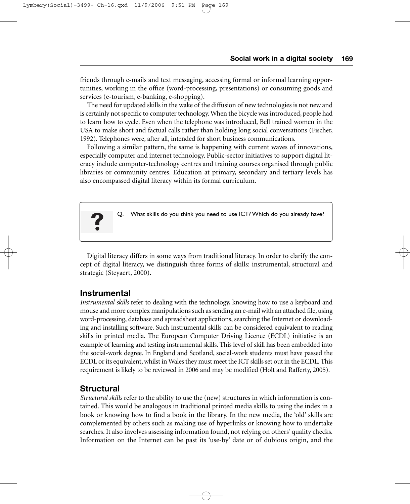friends through e-mails and text messaging, accessing formal or informal learning opportunities, working in the office (word-processing, presentations) or consuming goods and services (e-tourism, e-banking, e-shopping).

The need for updated skills in the wake of the diffusion of new technologies is not new and is certainly not specific to computer technology. When the bicycle was introduced, people had to learn how to cycle. Even when the telephone was introduced, Bell trained women in the USA to make short and factual calls rather than holding long social conversations (Fischer, 1992). Telephones were, after all, intended for short business communications.

Following a similar pattern, the same is happening with current waves of innovations, especially computer and internet technology. Public-sector initiatives to support digital literacy include computer-technology centres and training courses organised through public libraries or community centres. Education at primary, secondary and tertiary levels has also encompassed digital literacy within its formal curriculum.

Q. What skills do you think you need to use ICT? Which do you already have?

Digital literacy differs in some ways from traditional literacy. In order to clarify the concept of digital literacy, we distinguish three forms of skills: instrumental, structural and strategic (Steyaert, 2000).

#### Instrumental

*Instrumental skills* refer to dealing with the technology, knowing how to use a keyboard and mouse and more complex manipulations such as sending an e-mail with an attached file, using word-processing, database and spreadsheet applications, searching the Internet or downloading and installing software. Such instrumental skills can be considered equivalent to reading skills in printed media. The European Computer Driving Licence (ECDL) initiative is an example of learning and testing instrumental skills. This level of skill has been embedded into the social-work degree. In England and Scotland, social-work students must have passed the ECDL or its equivalent, whilst in Wales they must meet the ICT skills set out in the ECDL. This requirement is likely to be reviewed in 2006 and may be modified (Holt and Rafferty, 2005).

# **Structural**

*Structural skills* refer to the ability to use the (new) structures in which information is contained. This would be analogous in traditional printed media skills to using the index in a book or knowing how to find a book in the library. In the new media, the 'old' skills are complemented by others such as making use of hyperlinks or knowing how to undertake searches. It also involves assessing information found, not relying on others' quality checks. Information on the Internet can be past its 'use-by' date or of dubious origin, and the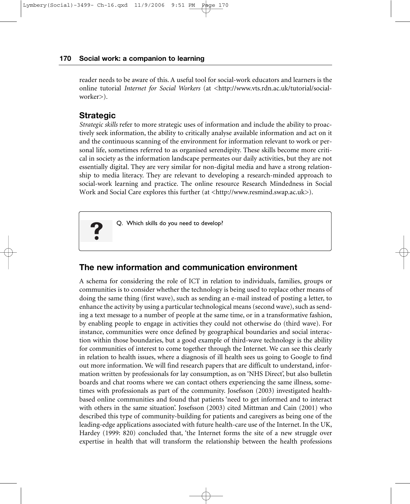reader needs to be aware of this. A useful tool for social-work educators and learners is the online tutorial *Internet for Social Workers* (at <http://www.vts.rdn.ac.uk/tutorial/socialworker>)*.*

#### **Strategic**

*Strategic skills* refer to more strategic uses of information and include the ability to proactively seek information, the ability to critically analyse available information and act on it and the continuous scanning of the environment for information relevant to work or personal life, sometimes referred to as organised serendipity. These skills become more critical in society as the information landscape permeates our daily activities, but they are not essentially digital. They are very similar for non-digital media and have a strong relationship to media literacy. They are relevant to developing a research-minded approach to social-work learning and practice. The online resource Research Mindedness in Social Work and Social Care explores this further (at <http://www.resmind.swap.ac.uk>).

Q. Which skills do you need to develop?

# The new information and communication environment

A schema for considering the role of ICT in relation to individuals, families, groups or communities is to consider whether the technology is being used to replace other means of doing the same thing (first wave), such as sending an e-mail instead of posting a letter, to enhance the activity by using a particular technological means (second wave), such as sending a text message to a number of people at the same time, or in a transformative fashion, by enabling people to engage in activities they could not otherwise do (third wave). For instance, communities were once defined by geographical boundaries and social interaction within those boundaries, but a good example of third-wave technology is the ability for communities of interest to come together through the Internet. We can see this clearly in relation to health issues, where a diagnosis of ill health sees us going to Google to find out more information. We will find research papers that are difficult to understand, information written by professionals for lay consumption, as on 'NHS Direct', but also bulletin boards and chat rooms where we can contact others experiencing the same illness, sometimes with professionals as part of the community. Josefsson (2003) investigated healthbased online communities and found that patients 'need to get informed and to interact with others in the same situation'. Josefsson (2003) cited Mittman and Cain (2001) who described this type of community-building for patients and caregivers as being one of the leading-edge applications associated with future health-care use of the Internet. In the UK, Hardey (1999: 820) concluded that, 'the Internet forms the site of a new struggle over expertise in health that will transform the relationship between the health professions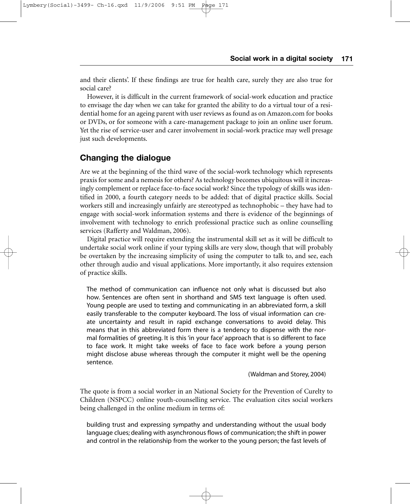and their clients'. If these findings are true for health care, surely they are also true for social care?

However, it is difficult in the current framework of social-work education and practice to envisage the day when we can take for granted the ability to do a virtual tour of a residential home for an ageing parent with user reviews as found as on Amazon.com for books or DVDs, or for someone with a care-management package to join an online user forum. Yet the rise of service-user and carer involvement in social-work practice may well presage just such developments.

# Changing the dialogue

Are we at the beginning of the third wave of the social-work technology which represents praxis for some and a nemesis for others? As technology becomes ubiquitous will it increasingly complement or replace face-to-face social work? Since the typology of skills was identified in 2000, a fourth category needs to be added: that of digital practice skills. Social workers still and increasingly unfairly are stereotyped as technophobic – they have had to engage with social-work information systems and there is evidence of the beginnings of involvement with technology to enrich professional practice such as online counselling services (Rafferty and Waldman, 2006).

Digital practice will require extending the instrumental skill set as it will be difficult to undertake social work online if your typing skills are very slow, though that will probably be overtaken by the increasing simplicity of using the computer to talk to, and see, each other through audio and visual applications. More importantly, it also requires extension of practice skills.

The method of communication can influence not only what is discussed but also how. Sentences are often sent in shorthand and SMS text language is often used. Young people are used to texting and communicating in an abbreviated form, a skill easily transferable to the computer keyboard. The loss of visual information can create uncertainty and result in rapid exchange conversations to avoid delay. This means that in this abbreviated form there is a tendency to dispense with the normal formalities of greeting. It is this 'in your face' approach that is so different to face to face work. It might take weeks of face to face work before a young person might disclose abuse whereas through the computer it might well be the opening sentence.

(Waldman and Storey, 2004)

The quote is from a social worker in an National Society for the Prevention of Curelty to Children (NSPCC) online youth-counselling service. The evaluation cites social workers being challenged in the online medium in terms of:

building trust and expressing sympathy and understanding without the usual body language clues; dealing with asynchronous flows of communication; the shift in power and control in the relationship from the worker to the young person; the fast levels of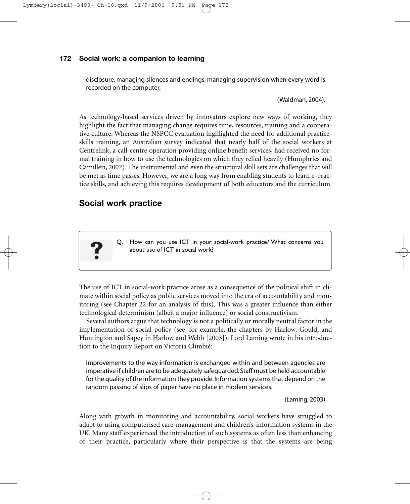disclosure, managing silences and endings; managing supervision when every word is recorded on the computer.

(Waldman, 2004).

As technology-based services driven by innovators explore new ways of working, they highlight the fact that managing change requires time, resources, training and a cooperative culture. Whereas the NSPCC evaluation highlighted the need for additional practiceskills training, an Australian survey indicated that nearly half of the social workers at Centrelink, a call-centre operation providing online benefit services, had received no formal training in how to use the technologies on which they relied heavily (Humphries and Camilleri, 2002). The instrumental and even the structural skill sets are challenges that will be met as time passes. However, we are a long way from enabling students to learn e-practice skills, and achieving this requires development of both educators and the curriculum.

# Social work practice

Q. How can you use ICT in your social-work practice? What concerns you about use of ICT in social work?

The use of ICT in social-work practice arose as a consequence of the political shift in climate within social policy as public services moved into the era of accountability and monitoring (see Chapter 22 for an analysis of this). This was a greater influence than either technological determinism (albeit a major influence) or social constructivism.

Several authors argue that technology is not a politically or morally neutral factor in the implementation of social policy (see, for example, the chapters by Harlow, Gould, and Huntington and Sapey in Harlow and Webb [2003]). Lord Laming wrote in his introduction to the Inquiry Report on Victoria Climbié:

Improvements to the way information is exchanged within and between agencies are imperative if children are to be adequately safeguarded. Staff must be held accountable for the quality of the information they provide. Information systems that depend on the random passing of slips of paper have no place in modern services.

(Laming, 2003)

Along with growth in monitoring and accountability, social workers have struggled to adapt to using computerised care-management and children's-information systems in the UK. Many staff experienced the introduction of such systems as often less than enhancing of their practice, particularly where their perspective is that the systems are being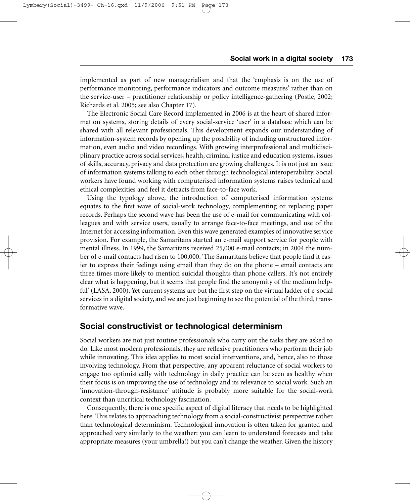implemented as part of new managerialism and that the 'emphasis is on the use of performance monitoring, performance indicators and outcome measures' rather than on the service-user – practitioner relationship or policy intelligence-gathering (Postle, 2002; Richards et al. 2005; see also Chapter 17).

The Electronic Social Care Record implemented in 2006 is at the heart of shared information systems, storing details of every social-service 'user' in a database which can be shared with all relevant professionals. This development expands our understanding of information-system records by opening up the possibility of including unstructured information, even audio and video recordings. With growing interprofessional and multidisciplinary practice across social services, health, criminal justice and education systems, issues of skills, accuracy, privacy and data protection are growing challenges. It is not just an issue of information systems talking to each other through technological interoperability. Social workers have found working with computerised information systems raises technical and ethical complexities and feel it detracts from face-to-face work.

Using the typology above, the introduction of computerised information systems equates to the first wave of social-work technology, complementing or replacing paper records. Perhaps the second wave has been the use of e-mail for communicating with colleagues and with service users, usually to arrange face-to-face meetings, and use of the Internet for accessing information. Even this wave generated examples of innovative service provision. For example, the Samaritans started an e-mail support service for people with mental illness. In 1999, the Samaritans received 25,000 e-mail contacts; in 2004 the number of e-mail contacts had risen to 100,000. 'The Samaritans believe that people find it easier to express their feelings using email than they do on the phone – email contacts are three times more likely to mention suicidal thoughts than phone callers. It's not entirely clear what is happening, but it seems that people find the anonymity of the medium helpful' (LASA, 2000). Yet current systems are but the first step on the virtual ladder of e-social services in a digital society, and we are just beginning to see the potential of the third, transformative wave.

#### Social constructivist or technological determinism

Social workers are not just routine professionals who carry out the tasks they are asked to do. Like most modern professionals, they are reflexive practitioners who perform their job while innovating. This idea applies to most social interventions, and, hence, also to those involving technology. From that perspective, any apparent reluctance of social workers to engage too optimistically with technology in daily practice can be seen as healthy when their focus is on improving the use of technology and its relevance to social work. Such an 'innovation-through-resistance' attitude is probably more suitable for the social-work context than uncritical technology fascination.

Consequently, there is one specific aspect of digital literacy that needs to be highlighted here. This relates to approaching technology from a social-constructivist perspective rather than technological determinism. Technological innovation is often taken for granted and approached very similarly to the weather: you can learn to understand forecasts and take appropriate measures (your umbrella!) but you can't change the weather. Given the history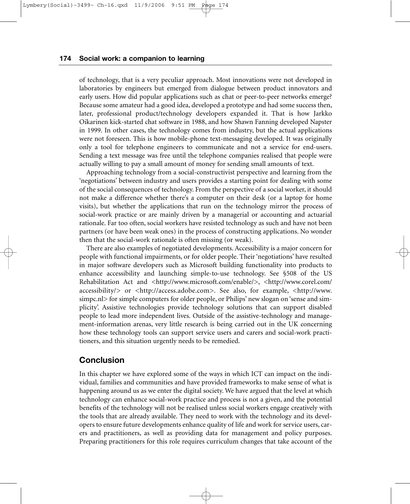of technology, that is a very peculiar approach. Most innovations were not developed in laboratories by engineers but emerged from dialogue between product innovators and early users. How did popular applications such as chat or peer-to-peer networks emerge? Because some amateur had a good idea, developed a prototype and had some success then, later, professional product/technology developers expanded it. That is how Jarkko Oikarinen kick-started chat software in 1988, and how Shawn Fanning developed Napster in 1999. In other cases, the technology comes from industry, but the actual applications were not foreseen. This is how mobile-phone text-messaging developed. It was originally only a tool for telephone engineers to communicate and not a service for end-users. Sending a text message was free until the telephone companies realised that people were actually willing to pay a small amount of money for sending small amounts of text.

Approaching technology from a social-constructivist perspective and learning from the 'negotiations' between industry and users provides a starting point for dealing with some of the social consequences of technology. From the perspective of a social worker, it should not make a difference whether there's a computer on their desk (or a laptop for home visits), but whether the applications that run on the technology mirror the process of social-work practice or are mainly driven by a managerial or accounting and actuarial rationale. Far too often, social workers have resisted technology as such and have not been partners (or have been weak ones) in the process of constructing applications. No wonder then that the social-work rationale is often missing (or weak).

There are also examples of negotiated developments. Accessibility is a major concern for people with functional impairments, or for older people. Their 'negotiations' have resulted in major software developers such as Microsoft building functionality into products to enhance accessibility and launching simple-to-use technology. See §508 of the US Rehabilitation Act and <http://www.microsoft.com/enable/>, <http://www.corel.com/ accessibility/> or <http://access.adobe.com>. See also, for example, <http://www. simpc.nl> for simple computers for older people, or Philips' new slogan on 'sense and simplicity'. Assistive technologies provide technology solutions that can support disabled people to lead more independent lives. Outside of the assistive-technology and management-information arenas, very little research is being carried out in the UK concerning how these technology tools can support service users and carers and social-work practitioners, and this situation urgently needs to be remedied.

#### Conclusion

In this chapter we have explored some of the ways in which ICT can impact on the individual, families and communities and have provided frameworks to make sense of what is happening around us as we enter the digital society. We have argued that the level at which technology can enhance social-work practice and process is not a given, and the potential benefits of the technology will not be realised unless social workers engage creatively with the tools that are already available. They need to work with the technology and its developers to ensure future developments enhance quality of life and work for service users, carers and practitioners, as well as providing data for management and policy purposes. Preparing practitioners for this role requires curriculum changes that take account of the